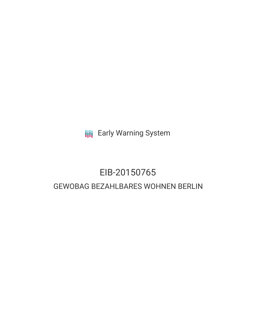**III** Early Warning System

# EIB-20150765 GEWOBAG BEZAHLBARES WOHNEN BERLIN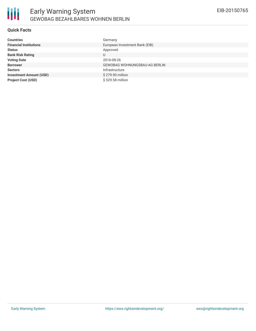

#### **Quick Facts**

| <b>Countries</b>               | Germany                              |
|--------------------------------|--------------------------------------|
| <b>Financial Institutions</b>  | European Investment Bank (EIB)       |
| <b>Status</b>                  | Approved                             |
| <b>Bank Risk Rating</b>        | U                                    |
| <b>Voting Date</b>             | 2016-08-26                           |
| <b>Borrower</b>                | <b>GEWOBAG WOHNUNGSBAU-AG BERLIN</b> |
| <b>Sectors</b>                 | Infrastructure                       |
| <b>Investment Amount (USD)</b> | \$279.90 million                     |
| <b>Project Cost (USD)</b>      | \$529.58 million                     |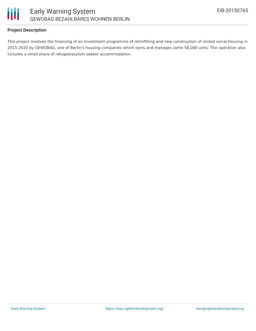

## **Project Description**

This project involves the financing of an investment programme of retrofitting and new construction of rented social housing in 2015-2020 by GEWOBAG, one of Berlin's housing companies which owns and manages some 58,000 units. The operation also includes a small share of refugee/asylum seeker accommodation.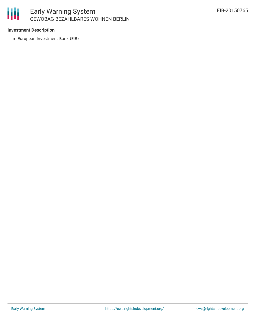

## **Investment Description**

European Investment Bank (EIB)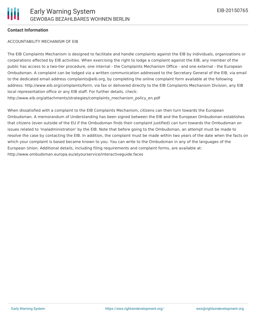#### **Contact Information**

#### ACCOUNTABILITY MECHANISM OF EIB

The EIB Complaints Mechanism is designed to facilitate and handle complaints against the EIB by individuals, organizations or corporations affected by EIB activities. When exercising the right to lodge a complaint against the EIB, any member of the public has access to a two-tier procedure, one internal - the Complaints Mechanism Office - and one external - the European Ombudsman. A complaint can be lodged via a written communication addressed to the Secretary General of the EIB, via email to the dedicated email address complaints@eib.org, by completing the online complaint form available at the following address: http://www.eib.org/complaints/form, via fax or delivered directly to the EIB Complaints Mechanism Division, any EIB local representation office or any EIB staff. For further details, check: http://www.eib.org/attachments/strategies/complaints\_mechanism\_policy\_en.pdf

When dissatisfied with a complaint to the EIB Complaints Mechanism, citizens can then turn towards the European Ombudsman. A memorandum of Understanding has been signed between the EIB and the European Ombudsman establishes that citizens (even outside of the EU if the Ombudsman finds their complaint justified) can turn towards the Ombudsman on issues related to 'maladministration' by the EIB. Note that before going to the Ombudsman, an attempt must be made to resolve the case by contacting the EIB. In addition, the complaint must be made within two years of the date when the facts on which your complaint is based became known to you. You can write to the Ombudsman in any of the languages of the European Union. Additional details, including filing requirements and complaint forms, are available at: http://www.ombudsman.europa.eu/atyourservice/interactiveguide.faces